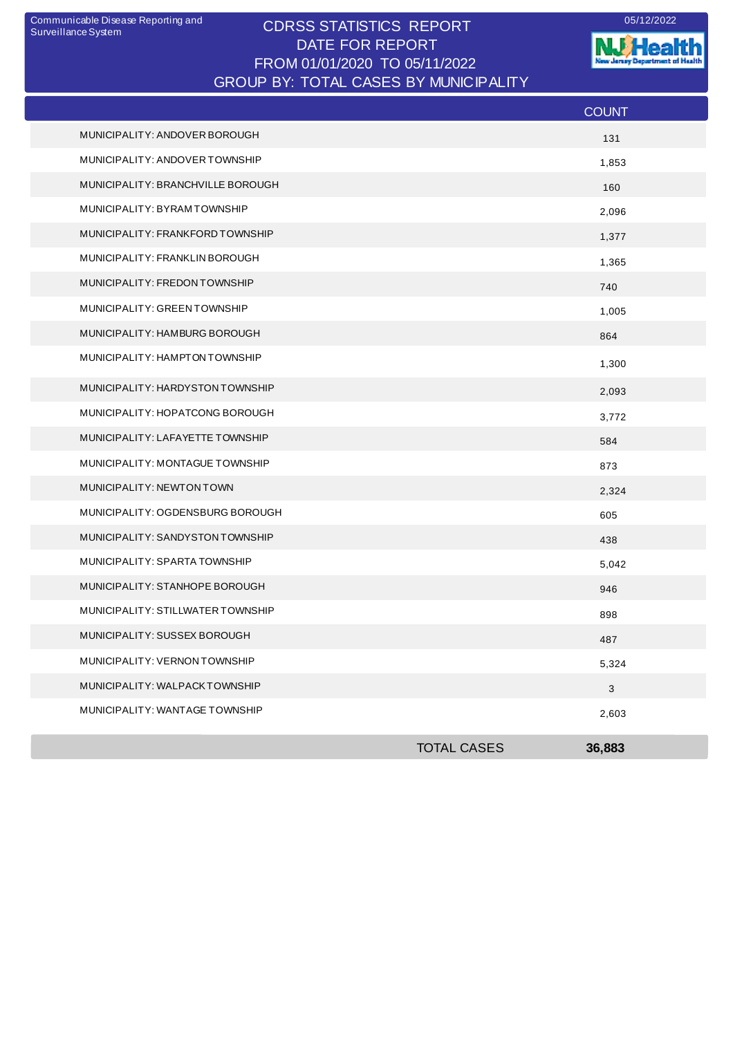## CDRSS STATISTICS REPORT Communicable Disease Reporting and 05/12/2022 DATE FOR REPORT FROM 01/01/2020 TO 05/11/2022 GROUP BY: TOTAL CASES BY MUNICIPALITY

**W**Health nt of Health **Januar Decentry** 

|                                   |                    | <b>COUNT</b> |
|-----------------------------------|--------------------|--------------|
| MUNICIPALITY: ANDOVER BOROUGH     |                    | 131          |
| MUNICIPALITY: ANDOVER TOWNSHIP    |                    | 1,853        |
| MUNICIPALITY: BRANCHVILLE BOROUGH |                    | 160          |
| MUNICIPALITY: BYRAMTOWNSHIP       |                    | 2,096        |
| MUNICIPALITY: FRANKFORD TOWNSHIP  |                    | 1,377        |
| MUNICIPALITY: FRANKLIN BOROUGH    |                    | 1,365        |
| MUNICIPALITY: FREDON TOWNSHIP     |                    | 740          |
| MUNICIPALITY: GREEN TOWNSHIP      |                    | 1,005        |
| MUNICIPALITY: HAMBURG BOROUGH     |                    | 864          |
| MUNICIPALITY: HAMPTON TOWNSHIP    |                    | 1,300        |
| MUNICIPALITY: HARDYSTON TOWNSHIP  |                    | 2,093        |
| MUNICIPALITY: HOPATCONG BOROUGH   |                    | 3,772        |
| MUNICIPALITY: LAFAYETTE TOWNSHIP  |                    | 584          |
| MUNICIPALITY: MONTAGUE TOWNSHIP   |                    | 873          |
| MUNICIPALITY: NEWTON TOWN         |                    | 2,324        |
| MUNICIPALITY: OGDENSBURG BOROUGH  |                    | 605          |
| MUNICIPALITY: SANDYSTON TOWNSHIP  |                    | 438          |
| MUNICIPALITY: SPARTA TOWNSHIP     |                    | 5,042        |
| MUNICIPALITY: STANHOPE BOROUGH    |                    | 946          |
| MUNICIPALITY: STILLWATER TOWNSHIP |                    | 898          |
| MUNICIPALITY: SUSSEX BOROUGH      |                    | 487          |
| MUNICIPALITY: VERNON TOWNSHIP     |                    | 5,324        |
| MUNICIPALITY: WALPACKTOWNSHIP     |                    | 3            |
| MUNICIPALITY: WANTAGE TOWNSHIP    |                    | 2,603        |
|                                   | <b>TOTAL CASES</b> | 36,883       |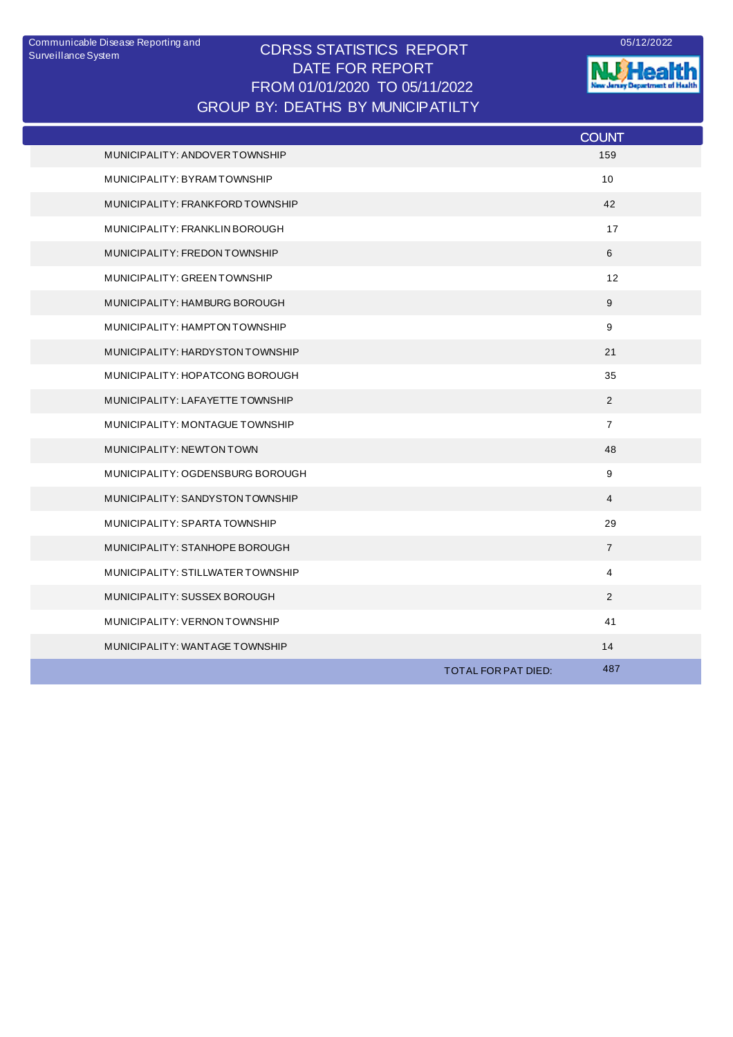## CDRSS STATISTICS REPORT DATE FOR REPORT FROM 01/01/2020 TO 05/11/2022 Communicable Disease Reporting and <br>
CODCO CTATICTICO DEDODT GROUP BY: DEATHS BY MUNICIPATILTY



**NJ** Health

|                                   |                     | <b>COUNT</b>    |
|-----------------------------------|---------------------|-----------------|
| MUNICIPALITY: ANDOVER TOWNSHIP    |                     | 159             |
| MUNICIPALITY: BYRAMTOWNSHIP       |                     | 10 <sup>1</sup> |
| MUNICIPALITY: FRANKFORD TOWNSHIP  |                     | 42              |
| MUNICIPALITY: FRANKLIN BOROUGH    |                     | 17              |
| MUNICIPALITY: FREDON TOWNSHIP     |                     | 6               |
| MUNICIPALITY: GREEN TOWNSHIP      |                     | 12              |
| MUNICIPALITY: HAMBURG BOROUGH     |                     | 9               |
| MUNICIPALITY: HAMPTON TOWNSHIP    |                     | 9               |
| MUNICIPALITY: HARDYSTON TOWNSHIP  |                     | 21              |
| MUNICIPALITY: HOPATCONG BOROUGH   |                     | 35              |
| MUNICIPALITY: LAFAYETTE TOWNSHIP  |                     | 2               |
| MUNICIPALITY: MONTAGUE TOWNSHIP   |                     | $\overline{7}$  |
| MUNICIPALITY: NEWTON TOWN         |                     | 48              |
| MUNICIPALITY: OGDENSBURG BOROUGH  |                     | 9               |
| MUNICIPALITY: SANDYSTON TOWNSHIP  |                     | 4               |
| MUNICIPALITY: SPARTA TOWNSHIP     |                     | 29              |
| MUNICIPALITY: STANHOPE BOROUGH    |                     | $\overline{7}$  |
| MUNICIPALITY: STILLWATER TOWNSHIP |                     | 4               |
| MUNICIPALITY: SUSSEX BOROUGH      |                     | 2               |
| MUNICIPALITY: VERNON TOWNSHIP     |                     | 41              |
| MUNICIPALITY: WANTAGE TOWNSHIP    |                     | 14              |
|                                   | TOTAL FOR PAT DIED: | 487             |
|                                   |                     |                 |